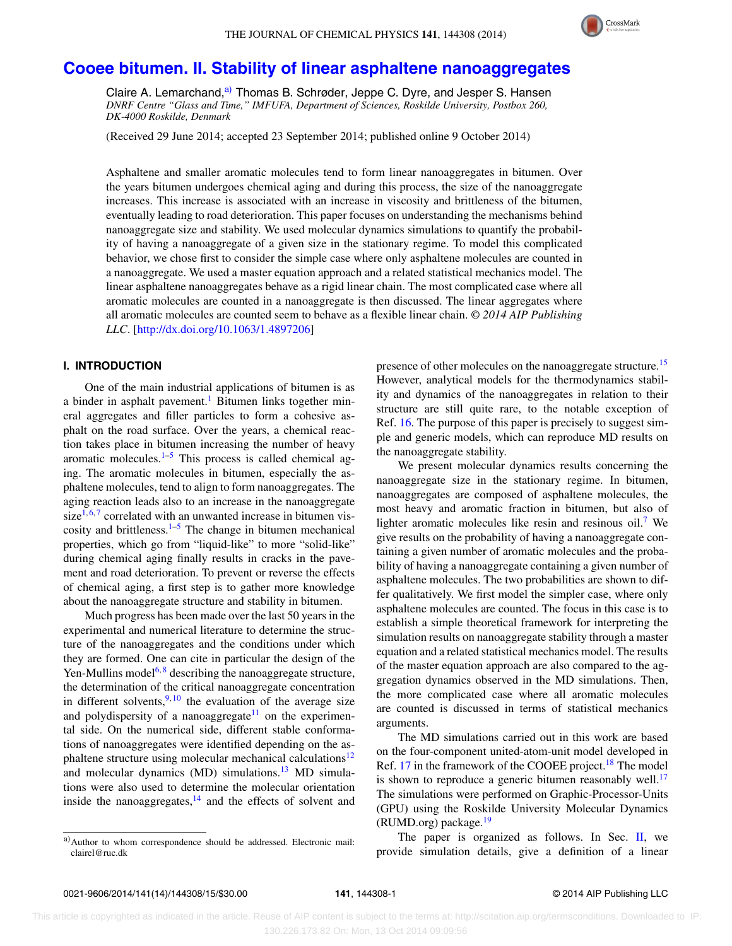

# **[Cooee bitumen. II. Stability of linear asphaltene nanoaggregates](http://dx.doi.org/10.1063/1.4897206)**

Claire A. Lemarchand, $a^0$  Thomas B. Schrøder, Jeppe C. Dyre, and Jesper S. Hansen *DNRF Centre "Glass and Time," IMFUFA, Department of Sciences, Roskilde University, Postbox 260, DK-4000 Roskilde, Denmark*

(Received 29 June 2014; accepted 23 September 2014; published online 9 October 2014)

Asphaltene and smaller aromatic molecules tend to form linear nanoaggregates in bitumen. Over the years bitumen undergoes chemical aging and during this process, the size of the nanoaggregate increases. This increase is associated with an increase in viscosity and brittleness of the bitumen, eventually leading to road deterioration. This paper focuses on understanding the mechanisms behind nanoaggregate size and stability. We used molecular dynamics simulations to quantify the probability of having a nanoaggregate of a given size in the stationary regime. To model this complicated behavior, we chose first to consider the simple case where only asphaltene molecules are counted in a nanoaggregate. We used a master equation approach and a related statistical mechanics model. The linear asphaltene nanoaggregates behave as a rigid linear chain. The most complicated case where all aromatic molecules are counted in a nanoaggregate is then discussed. The linear aggregates where all aromatic molecules are counted seem to behave as a flexible linear chain. *© 2014 AIP Publishing LLC*. [\[http://dx.doi.org/10.1063/1.4897206\]](http://dx.doi.org/10.1063/1.4897206)

## **I. INTRODUCTION**

One of the main industrial applications of bitumen is as a binder in asphalt pavement.<sup>1</sup> Bitumen links together mineral aggregates and filler particles to form a cohesive asphalt on the road surface. Over the years, a chemical reaction takes place in bitumen increasing the number of heavy aromatic molecules. $1-5$  This process is called chemical aging. The aromatic molecules in bitumen, especially the asphaltene molecules, tend to align to form nanoaggregates. The aging reaction leads also to an increase in the nanoaggregate size<sup>1,6,7</sup> correlated with an unwanted increase in bitumen viscosity and brittleness. $1-5$  The change in bitumen mechanical properties, which go from "liquid-like" to more "solid-like" during chemical aging finally results in cracks in the pavement and road deterioration. To prevent or reverse the effects of chemical aging, a first step is to gather more knowledge about the nanoaggregate structure and stability in bitumen.

Much progress has been made over the last 50 years in the experimental and numerical literature to determine the structure of the nanoaggregates and the conditions under which they are formed. One can cite in particular the design of the Yen-Mullins model<sup>6,8</sup> describing the nanoaggregate structure, the determination of the critical nanoaggregate concentration in different solvents,  $9,10$  the evaluation of the average size and polydispersity of a nanoaggregate $11$  on the experimental side. On the numerical side, different stable conformations of nanoaggregates were identified depending on the asphaltene structure using molecular mechanical calculations<sup>12</sup> and molecular dynamics (MD) simulations.<sup>13</sup> MD simulations were also used to determine the molecular orientation inside the nanoaggregates, $14$  and the effects of solvent and presence of other molecules on the nanoaggregate structure.<sup>15</sup> However, analytical models for the thermodynamics stability and dynamics of the nanoaggregates in relation to their structure are still quite rare, to the notable exception of Ref. 16. The purpose of this paper is precisely to suggest simple and generic models, which can reproduce MD results on the nanoaggregate stability.

We present molecular dynamics results concerning the nanoaggregate size in the stationary regime. In bitumen, nanoaggregates are composed of asphaltene molecules, the most heavy and aromatic fraction in bitumen, but also of lighter aromatic molecules like resin and resinous oil.<sup>7</sup> We give results on the probability of having a nanoaggregate containing a given number of aromatic molecules and the probability of having a nanoaggregate containing a given number of asphaltene molecules. The two probabilities are shown to differ qualitatively. We first model the simpler case, where only asphaltene molecules are counted. The focus in this case is to establish a simple theoretical framework for interpreting the simulation results on nanoaggregate stability through a master equation and a related statistical mechanics model. The results of the master equation approach are also compared to the aggregation dynamics observed in the MD simulations. Then, the more complicated case where all aromatic molecules are counted is discussed in terms of statistical mechanics arguments.

The MD simulations carried out in this work are based on the four-component united-atom-unit model developed in Ref.  $17$  in the framework of the COOEE project.<sup>18</sup> The model is shown to reproduce a generic bitumen reasonably well.<sup>17</sup> The simulations were performed on Graphic-Processor-Units (GPU) using the Roskilde University Molecular Dynamics (RUMD.org) package. $19$ 

The paper is organized as follows. In Sec. II, we provide simulation details, give a definition of a linear

a)Author to whom correspondence should be addressed. Electronic mail: [clairel@ruc.dk](mailto: clairel@ruc.dk)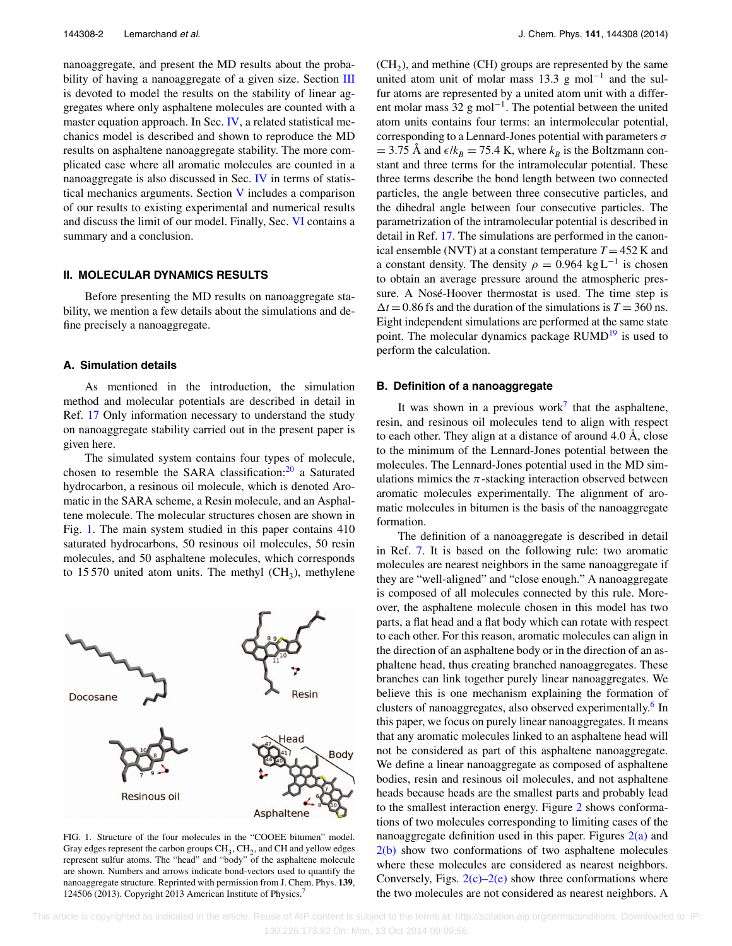nanoaggregate, and present the MD results about the probability of having a nanoaggregate of a given size. Section III is devoted to model the results on the stability of linear aggregates where only asphaltene molecules are counted with a master equation approach. In Sec. IV, a related statistical mechanics model is described and shown to reproduce the MD results on asphaltene nanoaggregate stability. The more complicated case where all aromatic molecules are counted in a nanoaggregate is also discussed in Sec. IV in terms of statistical mechanics arguments. Section  $V$  includes a comparison of our results to existing experimental and numerical results and discuss the limit of our model. Finally, Sec. VI contains a summary and a conclusion.

# **II. MOLECULAR DYNAMICS RESULTS**

Before presenting the MD results on nanoaggregate stability, we mention a few details about the simulations and define precisely a nanoaggregate.

#### **A. Simulation details**

As mentioned in the introduction, the simulation method and molecular potentials are described in detail in Ref. 17 Only information necessary to understand the study on nanoaggregate stability carried out in the present paper is given here.

The simulated system contains four types of molecule, chosen to resemble the SARA classification:<sup>20</sup> a Saturated hydrocarbon, a resinous oil molecule, which is denoted Aromatic in the SARA scheme, a Resin molecule, and an Asphaltene molecule. The molecular structures chosen are shown in Fig. 1. The main system studied in this paper contains 410 saturated hydrocarbons, 50 resinous oil molecules, 50 resin molecules, and 50 asphaltene molecules, which corresponds to 15 570 united atom units. The methyl  $(CH_3)$ , methylene



FIG. 1. Structure of the four molecules in the "COOEE bitumen" model. Gray edges represent the carbon groups  $CH<sub>3</sub>$ ,  $CH<sub>2</sub>$ , and CH and yellow edges represent sulfur atoms. The "head" and "body" of the asphaltene molecule are shown. Numbers and arrows indicate bond-vectors used to quantify the nanoaggregate structure. Reprinted with permission from J. Chem. Phys. **139**, 124506 (2013). Copyright 2013 American Institute of Physics.<sup>7</sup>

 $(CH<sub>2</sub>)$ , and methine (CH) groups are represented by the same united atom unit of molar mass 13.3 g mol<sup>-1</sup> and the sulfur atoms are represented by a united atom unit with a different molar mass  $32 \text{ g mol}^{-1}$ . The potential between the united atom units contains four terms: an intermolecular potential, corresponding to a Lennard-Jones potential with parameters *σ*  $= 3.75$  Å and  $\epsilon/k_B = 75.4$  K, where  $k_B$  is the Boltzmann constant and three terms for the intramolecular potential. These three terms describe the bond length between two connected particles, the angle between three consecutive particles, and the dihedral angle between four consecutive particles. The parametrization of the intramolecular potential is described in detail in Ref. 17. The simulations are performed in the canonical ensemble (NVT) at a constant temperature  $T = 452$  K and a constant density. The density  $\rho = 0.964 \text{ kg L}^{-1}$  is chosen to obtain an average pressure around the atmospheric pressure. A Nosé-Hoover thermostat is used. The time step is  $\Delta t = 0.86$  fs and the duration of the simulations is  $T = 360$  ns. Eight independent simulations are performed at the same state point. The molecular dynamics package  $RUMD<sup>19</sup>$  is used to perform the calculation.

#### **B. Definition of a nanoaggregate**

It was shown in a previous work<sup>7</sup> that the asphaltene, resin, and resinous oil molecules tend to align with respect to each other. They align at a distance of around 4.0 Å, close to the minimum of the Lennard-Jones potential between the molecules. The Lennard-Jones potential used in the MD simulations mimics the  $\pi$ -stacking interaction observed between aromatic molecules experimentally. The alignment of aromatic molecules in bitumen is the basis of the nanoaggregate formation.

The definition of a nanoaggregate is described in detail in Ref. 7. It is based on the following rule: two aromatic molecules are nearest neighbors in the same nanoaggregate if they are "well-aligned" and "close enough." A nanoaggregate is composed of all molecules connected by this rule. Moreover, the asphaltene molecule chosen in this model has two parts, a flat head and a flat body which can rotate with respect to each other. For this reason, aromatic molecules can align in the direction of an asphaltene body or in the direction of an asphaltene head, thus creating branched nanoaggregates. These branches can link together purely linear nanoaggregates. We believe this is one mechanism explaining the formation of clusters of nanoaggregates, also observed experimentally.<sup>6</sup> In this paper, we focus on purely linear nanoaggregates. It means that any aromatic molecules linked to an asphaltene head will not be considered as part of this asphaltene nanoaggregate. We define a linear nanoaggregate as composed of asphaltene bodies, resin and resinous oil molecules, and not asphaltene heads because heads are the smallest parts and probably lead to the smallest interaction energy. Figure 2 shows conformations of two molecules corresponding to limiting cases of the nanoaggregate definition used in this paper. Figures  $2(a)$  and  $2(b)$  show two conformations of two asphaltene molecules where these molecules are considered as nearest neighbors. Conversely, Figs.  $2(c)-2(e)$  show three conformations where the two molecules are not considered as nearest neighbors. A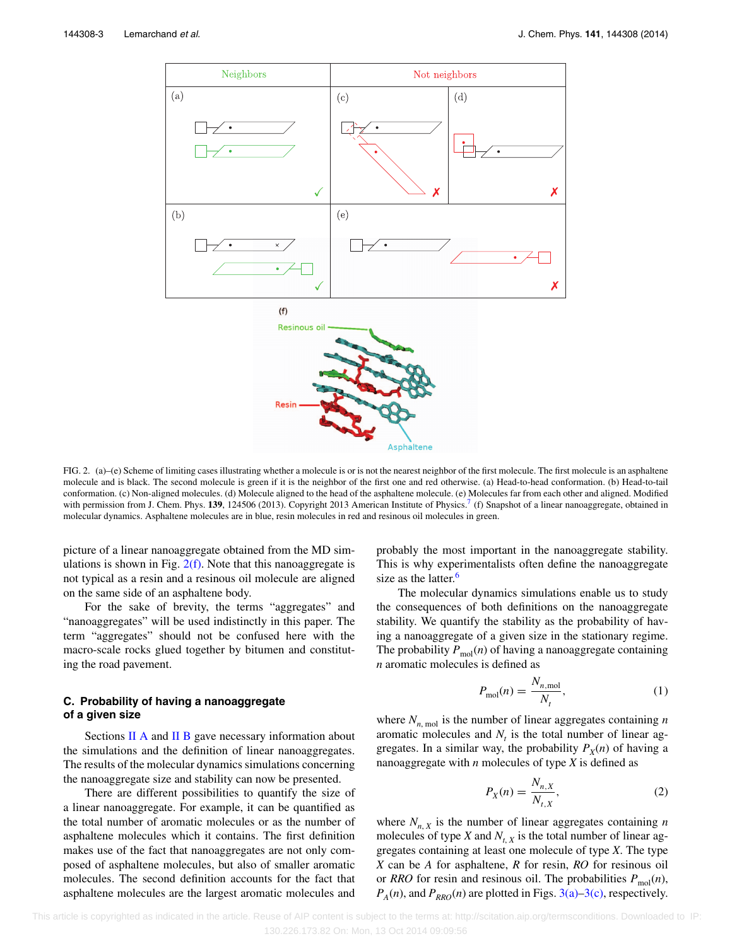

FIG. 2. (a)–(e) Scheme of limiting cases illustrating whether a molecule is or is not the nearest neighbor of the first molecule. The first molecule is an asphaltene molecule and is black. The second molecule is green if it is the neighbor of the first one and red otherwise. (a) Head-to-head conformation. (b) Head-to-tail conformation. (c) Non-aligned molecules. (d) Molecule aligned to the head of the asphaltene molecule. (e) Molecules far from each other and aligned. Modified with permission from J. Chem. Phys. 139, 124506 (2013). Copyright 2013 American Institute of Physics.<sup>7</sup> (f) Snapshot of a linear nanoaggregate, obtained in molecular dynamics. Asphaltene molecules are in blue, resin molecules in red and resinous oil molecules in green.

picture of a linear nanoaggregate obtained from the MD simulations is shown in Fig.  $2(f)$ . Note that this nanoaggregate is not typical as a resin and a resinous oil molecule are aligned on the same side of an asphaltene body.

For the sake of brevity, the terms "aggregates" and "nanoaggregates" will be used indistinctly in this paper. The term "aggregates" should not be confused here with the macro-scale rocks glued together by bitumen and constituting the road pavement.

# **C. Probability of having a nanoaggregate of a given size**

Sections  $II \nightharpoonup A$  and  $II \nightharpoonup B$  gave necessary information about the simulations and the definition of linear nanoaggregates. The results of the molecular dynamics simulations concerning the nanoaggregate size and stability can now be presented.

There are different possibilities to quantify the size of a linear nanoaggregate. For example, it can be quantified as the total number of aromatic molecules or as the number of asphaltene molecules which it contains. The first definition makes use of the fact that nanoaggregates are not only composed of asphaltene molecules, but also of smaller aromatic molecules. The second definition accounts for the fact that asphaltene molecules are the largest aromatic molecules and probably the most important in the nanoaggregate stability. This is why experimentalists often define the nanoaggregate size as the latter.<sup>6</sup>

The molecular dynamics simulations enable us to study the consequences of both definitions on the nanoaggregate stability. We quantify the stability as the probability of having a nanoaggregate of a given size in the stationary regime. The probability  $P_{\text{mol}}(n)$  of having a nanoaggregate containing *n* aromatic molecules is defined as

$$
P_{\text{mol}}(n) = \frac{N_{n,\text{mol}}}{N_t},\tag{1}
$$

where  $N_{n, \text{mol}}$  is the number of linear aggregates containing *n* aromatic molecules and  $N_t$  is the total number of linear aggregates. In a similar way, the probability  $P_X(n)$  of having a nanoaggregate with *n* molecules of type *X* is defined as

$$
P_X(n) = \frac{N_{n,X}}{N_{t,X}},\tag{2}
$$

where  $N_{n,X}$  is the number of linear aggregates containing *n* molecules of type *X* and  $N_{t, X}$  is the total number of linear aggregates containing at least one molecule of type *X*. The type *X* can be *A* for asphaltene, *R* for resin, *RO* for resinous oil or *RRO* for resin and resinous oil. The probabilities  $P_{\text{mol}}(n)$ ,  $P_A(n)$ , and  $P_{RRO}(n)$  are plotted in Figs. 3(a)–3(c), respectively.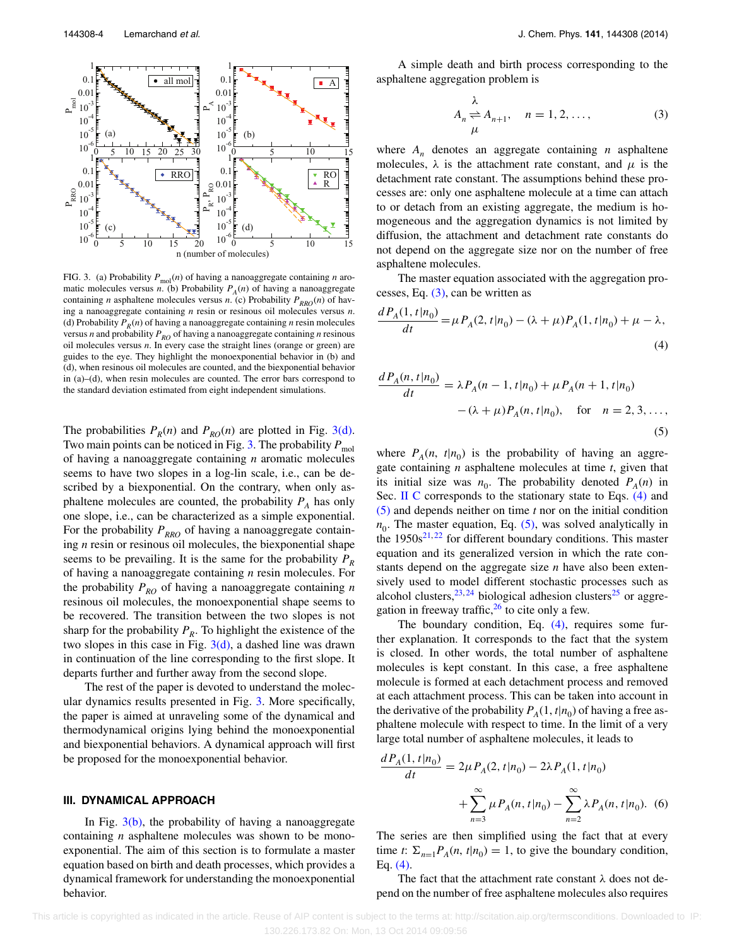

FIG. 3. (a) Probability  $P_{\text{mol}}(n)$  of having a nanoaggregate containing *n* aromatic molecules versus *n*. (b) Probability  $P_A(n)$  of having a nanoaggregate containing *n* asphaltene molecules versus *n*. (c) Probability  $P_{RRO}(n)$  of having a nanoaggregate containing *n* resin or resinous oil molecules versus *n*. (d) Probability  $P_R(n)$  of having a nanoaggregate containing *n* resin molecules versus  $n$  and probability  $P_{RO}$  of having a nanoaggregate containing  $n$  resinous oil molecules versus *n*. In every case the straight lines (orange or green) are guides to the eye. They highlight the monoexponential behavior in (b) and (d), when resinous oil molecules are counted, and the biexponential behavior in (a)–(d), when resin molecules are counted. The error bars correspond to the standard deviation estimated from eight independent simulations.

The probabilities  $P_R(n)$  and  $P_{RO}(n)$  are plotted in Fig. 3(d). Two main points can be noticed in Fig. 3. The probability  $P_{\text{mol}}$ of having a nanoaggregate containing *n* aromatic molecules seems to have two slopes in a log-lin scale, i.e., can be described by a biexponential. On the contrary, when only asphaltene molecules are counted, the probability  $P_A$  has only one slope, i.e., can be characterized as a simple exponential. For the probability  $P_{RRO}$  of having a nanoaggregate containing *n* resin or resinous oil molecules, the biexponential shape seems to be prevailing. It is the same for the probability  $P_R$ of having a nanoaggregate containing *n* resin molecules. For the probability  $P_{RO}$  of having a nanoaggregate containing *n* resinous oil molecules, the monoexponential shape seems to be recovered. The transition between the two slopes is not sharp for the probability  $P_R$ . To highlight the existence of the two slopes in this case in Fig.  $3(d)$ , a dashed line was drawn in continuation of the line corresponding to the first slope. It departs further and further away from the second slope.

The rest of the paper is devoted to understand the molecular dynamics results presented in Fig. 3. More specifically, the paper is aimed at unraveling some of the dynamical and thermodynamical origins lying behind the monoexponential and biexponential behaviors. A dynamical approach will first be proposed for the monoexponential behavior.

## **III. DYNAMICAL APPROACH**

In Fig.  $3(b)$ , the probability of having a nanoaggregate containing *n* asphaltene molecules was shown to be monoexponential. The aim of this section is to formulate a master equation based on birth and death processes, which provides a dynamical framework for understanding the monoexponential behavior.

A simple death and birth process corresponding to the asphaltene aggregation problem is

$$
\lambda_n \underset{\mu}{\rightleftharpoons} A_{n+1}, \quad n = 1, 2, \dots,
$$
 (3)

where  $A_n$  denotes an aggregate containing *n* asphaltene molecules,  $\lambda$  is the attachment rate constant, and  $\mu$  is the detachment rate constant. The assumptions behind these processes are: only one asphaltene molecule at a time can attach to or detach from an existing aggregate, the medium is homogeneous and the aggregation dynamics is not limited by diffusion, the attachment and detachment rate constants do not depend on the aggregate size nor on the number of free asphaltene molecules.

The master equation associated with the aggregation processes, Eq. (3), can be written as

$$
\frac{dP_A(1, t|n_0)}{dt} = \mu P_A(2, t|n_0) - (\lambda + \mu)P_A(1, t|n_0) + \mu - \lambda,
$$
\n(4)

$$
\frac{dP_A(n, t|n_0)}{dt} = \lambda P_A(n - 1, t|n_0) + \mu P_A(n + 1, t|n_0)
$$

$$
-(\lambda + \mu)P_A(n, t|n_0), \quad \text{for} \quad n = 2, 3, \dots,
$$
(5)

where  $P_A(n, t | n_0)$  is the probability of having an aggregate containing *n* asphaltene molecules at time *t*, given that its initial size was  $n_0$ . The probability denoted  $P_A(n)$  in Sec. II C corresponds to the stationary state to Eqs. (4) and (5) and depends neither on time *t* nor on the initial condition  $n_0$ . The master equation, Eq. (5), was solved analytically in the  $1950s^{21,22}$  for different boundary conditions. This master equation and its generalized version in which the rate constants depend on the aggregate size *n* have also been extensively used to model different stochastic processes such as alcohol clusters,  $23, 24$  biological adhesion clusters  $25$  or aggregation in freeway traffic, $26$  to cite only a few.

The boundary condition, Eq. (4), requires some further explanation. It corresponds to the fact that the system is closed. In other words, the total number of asphaltene molecules is kept constant. In this case, a free asphaltene molecule is formed at each detachment process and removed at each attachment process. This can be taken into account in the derivative of the probability  $P_A(1, t|n_0)$  of having a free asphaltene molecule with respect to time. In the limit of a very large total number of asphaltene molecules, it leads to

$$
\frac{dP_A(1, t|n_0)}{dt} = 2\mu P_A(2, t|n_0) - 2\lambda P_A(1, t|n_0) + \sum_{n=3}^{\infty} \mu P_A(n, t|n_0) - \sum_{n=2}^{\infty} \lambda P_A(n, t|n_0). \tag{6}
$$

The series are then simplified using the fact that at every time *t*:  $\Sigma_{n=1}P_A(n, t|n_0) = 1$ , to give the boundary condition, Eq. (4).

The fact that the attachment rate constant *λ* does not depend on the number of free asphaltene molecules also requires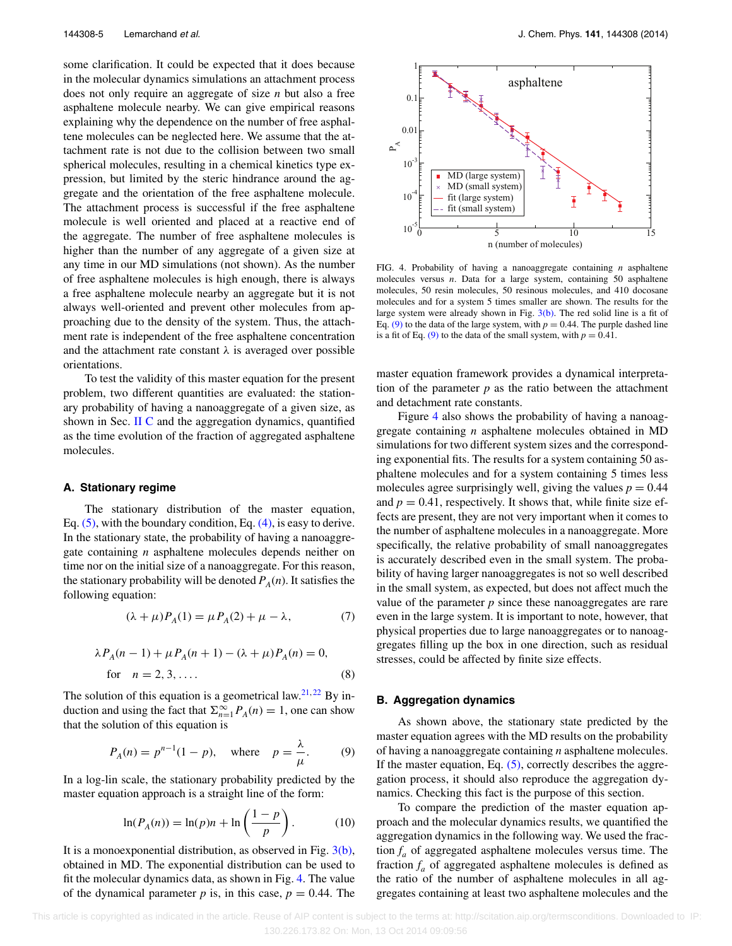some clarification. It could be expected that it does because in the molecular dynamics simulations an attachment process does not only require an aggregate of size *n* but also a free asphaltene molecule nearby. We can give empirical reasons explaining why the dependence on the number of free asphaltene molecules can be neglected here. We assume that the attachment rate is not due to the collision between two small spherical molecules, resulting in a chemical kinetics type expression, but limited by the steric hindrance around the aggregate and the orientation of the free asphaltene molecule. The attachment process is successful if the free asphaltene molecule is well oriented and placed at a reactive end of the aggregate. The number of free asphaltene molecules is higher than the number of any aggregate of a given size at any time in our MD simulations (not shown). As the number of free asphaltene molecules is high enough, there is always a free asphaltene molecule nearby an aggregate but it is not always well-oriented and prevent other molecules from approaching due to the density of the system. Thus, the attachment rate is independent of the free asphaltene concentration and the attachment rate constant  $\lambda$  is averaged over possible orientations.

To test the validity of this master equation for the present problem, two different quantities are evaluated: the stationary probability of having a nanoaggregate of a given size, as shown in Sec.  $\Pi C$  and the aggregation dynamics, quantified as the time evolution of the fraction of aggregated asphaltene molecules.

#### **A. Stationary regime**

The stationary distribution of the master equation, Eq.  $(5)$ , with the boundary condition, Eq.  $(4)$ , is easy to derive. In the stationary state, the probability of having a nanoaggregate containing *n* asphaltene molecules depends neither on time nor on the initial size of a nanoaggregate. For this reason, the stationary probability will be denoted  $P_A(n)$ . It satisfies the following equation:

$$
(\lambda + \mu)P_A(1) = \mu P_A(2) + \mu - \lambda,\tag{7}
$$

$$
\lambda P_A(n-1) + \mu P_A(n+1) - (\lambda + \mu) P_A(n) = 0,
$$
  
for  $n = 2, 3, ...$  (8)

The solution of this equation is a geometrical law.<sup>21,22</sup> By induction and using the fact that  $\Sigma_{n=1}^{\infty} P_A(n) = 1$ , one can show that the solution of this equation is

$$
P_A(n) = p^{n-1}(1-p)
$$
, where  $p = \frac{\lambda}{\mu}$ . (9)

In a log-lin scale, the stationary probability predicted by the master equation approach is a straight line of the form:

$$
\ln(P_A(n)) = \ln(p)n + \ln\left(\frac{1-p}{p}\right). \tag{10}
$$

It is a monoexponential distribution, as observed in Fig.  $3(b)$ , obtained in MD. The exponential distribution can be used to fit the molecular dynamics data, as shown in Fig. 4. The value of the dynamical parameter  $p$  is, in this case,  $p = 0.44$ . The



FIG. 4. Probability of having a nanoaggregate containing *n* asphaltene molecules versus *n*. Data for a large system, containing 50 asphaltene molecules, 50 resin molecules, 50 resinous molecules, and 410 docosane molecules and for a system 5 times smaller are shown. The results for the large system were already shown in Fig. 3(b). The red solid line is a fit of Eq. (9) to the data of the large system, with  $p = 0.44$ . The purple dashed line is a fit of Eq. (9) to the data of the small system, with  $p = 0.41$ .

master equation framework provides a dynamical interpretation of the parameter  $p$  as the ratio between the attachment and detachment rate constants.

Figure 4 also shows the probability of having a nanoaggregate containing *n* asphaltene molecules obtained in MD simulations for two different system sizes and the corresponding exponential fits. The results for a system containing 50 asphaltene molecules and for a system containing 5 times less molecules agree surprisingly well, giving the values  $p = 0.44$ and  $p = 0.41$ , respectively. It shows that, while finite size effects are present, they are not very important when it comes to the number of asphaltene molecules in a nanoaggregate. More specifically, the relative probability of small nanoaggregates is accurately described even in the small system. The probability of having larger nanoaggregates is not so well described in the small system, as expected, but does not affect much the value of the parameter  $p$  since these nanoaggregates are rare even in the large system. It is important to note, however, that physical properties due to large nanoaggregates or to nanoaggregates filling up the box in one direction, such as residual stresses, could be affected by finite size effects.

### **B. Aggregation dynamics**

As shown above, the stationary state predicted by the master equation agrees with the MD results on the probability of having a nanoaggregate containing *n* asphaltene molecules. If the master equation, Eq.  $(5)$ , correctly describes the aggregation process, it should also reproduce the aggregation dynamics. Checking this fact is the purpose of this section.

To compare the prediction of the master equation approach and the molecular dynamics results, we quantified the aggregation dynamics in the following way. We used the fraction  $f_a$  of aggregated asphaltene molecules versus time. The fraction  $f_a$  of aggregated asphaltene molecules is defined as the ratio of the number of asphaltene molecules in all aggregates containing at least two asphaltene molecules and the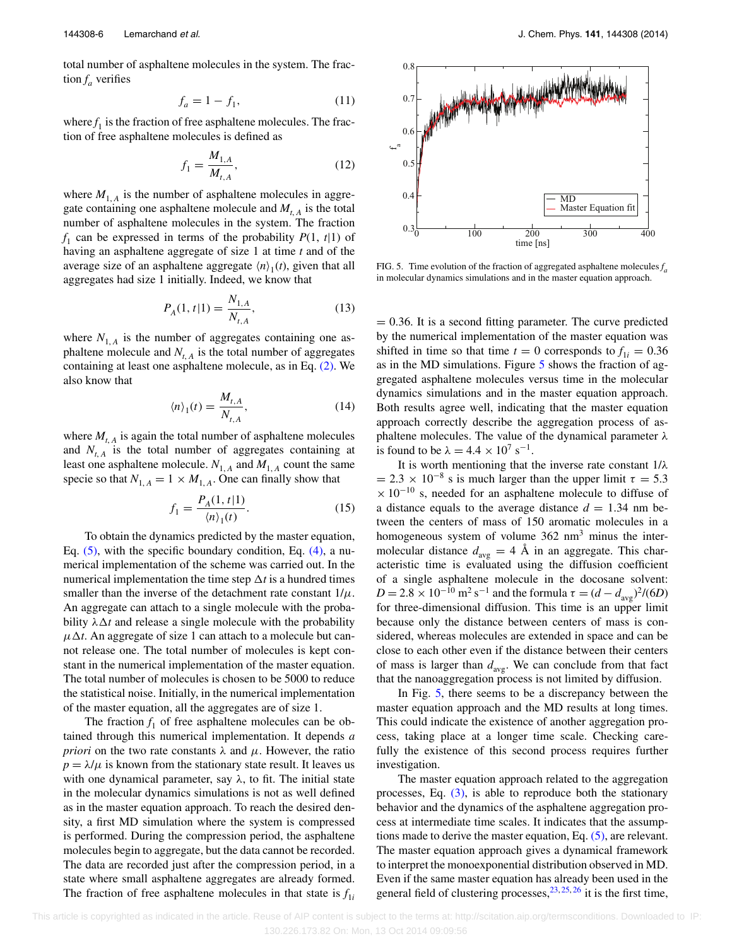total number of asphaltene molecules in the system. The fraction  $f_a$  verifies

$$
f_a = 1 - f_1,\t\t(11)
$$

where  $f_1$  is the fraction of free asphaltene molecules. The fraction of free asphaltene molecules is defined as

$$
f_1 = \frac{M_{1,A}}{M_{t,A}},\tag{12}
$$

where  $M_{1, A}$  is the number of asphaltene molecules in aggregate containing one asphaltene molecule and  $M_{t, A}$  is the total number of asphaltene molecules in the system. The fraction  $f_1$  can be expressed in terms of the probability  $P(1, t|1)$  of having an asphaltene aggregate of size 1 at time *t* and of the average size of an asphaltene aggregate  $\langle n \rangle_1(t)$ , given that all aggregates had size 1 initially. Indeed, we know that

$$
P_A(1, t|1) = \frac{N_{1,A}}{N_{t,A}},
$$
\n(13)

where  $N_{1, A}$  is the number of aggregates containing one asphaltene molecule and  $N_{t, A}$  is the total number of aggregates containing at least one asphaltene molecule, as in Eq. (2). We also know that

$$
\langle n \rangle_1(t) = \frac{M_{t,A}}{N_{t,A}},\tag{14}
$$

where  $M_{tA}$  is again the total number of asphaltene molecules and  $N_{t, A}$  is the total number of aggregates containing at least one asphaltene molecule.  $N_{1, A}$  and  $M_{1, A}$  count the same specie so that  $N_{1, A} = 1 \times M_{1, A}$ . One can finally show that

$$
f_1 = \frac{P_A(1, t|1)}{\langle n \rangle_1(t)}.\tag{15}
$$

To obtain the dynamics predicted by the master equation, Eq.  $(5)$ , with the specific boundary condition, Eq.  $(4)$ , a numerical implementation of the scheme was carried out. In the numerical implementation the time step  $\Delta t$  is a hundred times smaller than the inverse of the detachment rate constant  $1/\mu$ . An aggregate can attach to a single molecule with the probability  $\lambda \Delta t$  and release a single molecule with the probability  $\mu \Delta t$ . An aggregate of size 1 can attach to a molecule but cannot release one. The total number of molecules is kept constant in the numerical implementation of the master equation. The total number of molecules is chosen to be 5000 to reduce the statistical noise. Initially, in the numerical implementation of the master equation, all the aggregates are of size 1.

The fraction  $f_1$  of free asphaltene molecules can be obtained through this numerical implementation. It depends *a priori* on the two rate constants  $\lambda$  and  $\mu$ . However, the ratio  $p = \lambda/\mu$  is known from the stationary state result. It leaves us with one dynamical parameter, say *λ*, to fit. The initial state in the molecular dynamics simulations is not as well defined as in the master equation approach. To reach the desired density, a first MD simulation where the system is compressed is performed. During the compression period, the asphaltene molecules begin to aggregate, but the data cannot be recorded. The data are recorded just after the compression period, in a state where small asphaltene aggregates are already formed. The fraction of free asphaltene molecules in that state is  $f_{1i}$ 



FIG. 5. Time evolution of the fraction of aggregated asphaltene molecules  $f_a$ in molecular dynamics simulations and in the master equation approach.

 $= 0.36$ . It is a second fitting parameter. The curve predicted by the numerical implementation of the master equation was shifted in time so that time  $t = 0$  corresponds to  $f_{1i} = 0.36$ as in the MD simulations. Figure 5 shows the fraction of aggregated asphaltene molecules versus time in the molecular dynamics simulations and in the master equation approach. Both results agree well, indicating that the master equation approach correctly describe the aggregation process of asphaltene molecules. The value of the dynamical parameter *λ* is found to be  $\lambda = 4.4 \times 10^7$  s<sup>-1</sup>.

It is worth mentioning that the inverse rate constant 1/*λ*  $= 2.3 \times 10^{-8}$  s is much larger than the upper limit  $\tau = 5.3$  $\times$  10<sup>-10</sup> s, needed for an asphaltene molecule to diffuse of a distance equals to the average distance  $d = 1.34$  nm between the centers of mass of 150 aromatic molecules in a homogeneous system of volume  $362 \text{ nm}^3$  minus the intermolecular distance  $d_{\text{avg}} = 4 \text{ Å}$  in an aggregate. This characteristic time is evaluated using the diffusion coefficient of a single asphaltene molecule in the docosane solvent: *D* = 2.8 × 10<sup>-10</sup> m<sup>2</sup> s<sup>-1</sup> and the formula  $τ = (d - d_{avg})^2/(6D)$ for three-dimensional diffusion. This time is an upper limit because only the distance between centers of mass is considered, whereas molecules are extended in space and can be close to each other even if the distance between their centers of mass is larger than  $d_{\text{avg}}$ . We can conclude from that fact that the nanoaggregation process is not limited by diffusion.

In Fig. 5, there seems to be a discrepancy between the master equation approach and the MD results at long times. This could indicate the existence of another aggregation process, taking place at a longer time scale. Checking carefully the existence of this second process requires further investigation.

The master equation approach related to the aggregation processes, Eq. (3), is able to reproduce both the stationary behavior and the dynamics of the asphaltene aggregation process at intermediate time scales. It indicates that the assumptions made to derive the master equation, Eq. (5), are relevant. The master equation approach gives a dynamical framework to interpret the monoexponential distribution observed in MD. Even if the same master equation has already been used in the general field of clustering processes,  $23, 25, 26$  it is the first time,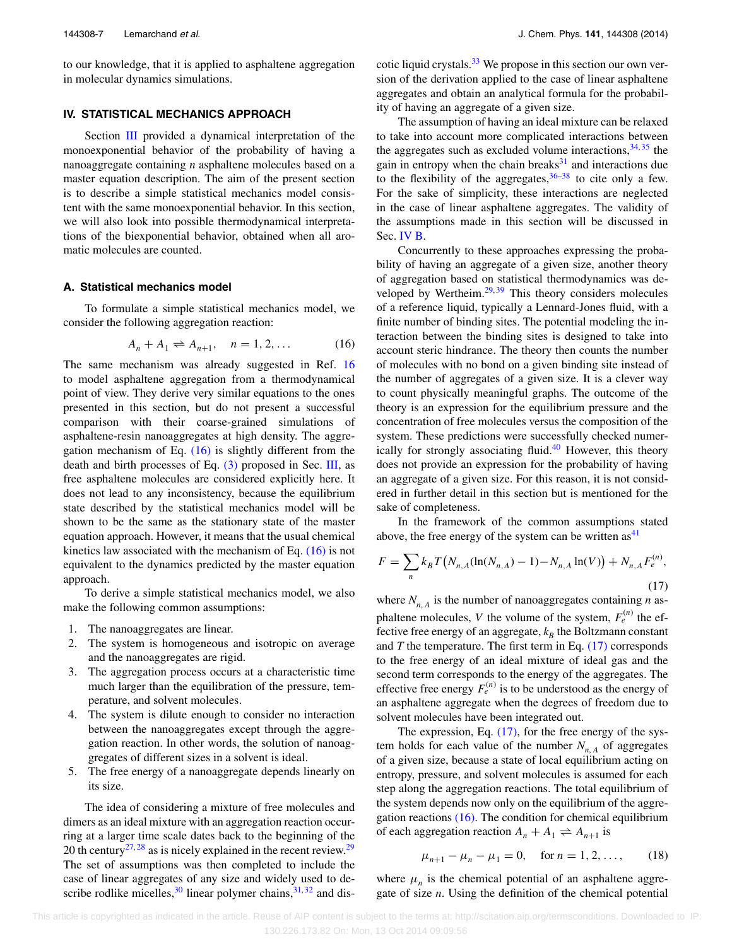to our knowledge, that it is applied to asphaltene aggregation in molecular dynamics simulations.

# **IV. STATISTICAL MECHANICS APPROACH**

Section III provided a dynamical interpretation of the monoexponential behavior of the probability of having a nanoaggregate containing *n* asphaltene molecules based on a master equation description. The aim of the present section is to describe a simple statistical mechanics model consistent with the same monoexponential behavior. In this section, we will also look into possible thermodynamical interpretations of the biexponential behavior, obtained when all aromatic molecules are counted.

#### **A. Statistical mechanics model**

To formulate a simple statistical mechanics model, we consider the following aggregation reaction:

$$
A_n + A_1 \rightleftharpoons A_{n+1}, \quad n = 1, 2, \dots \tag{16}
$$

The same mechanism was already suggested in Ref. 16 to model asphaltene aggregation from a thermodynamical point of view. They derive very similar equations to the ones presented in this section, but do not present a successful comparison with their coarse-grained simulations of asphaltene-resin nanoaggregates at high density. The aggregation mechanism of Eq.  $(16)$  is slightly different from the death and birth processes of Eq.  $(3)$  proposed in Sec. III, as free asphaltene molecules are considered explicitly here. It does not lead to any inconsistency, because the equilibrium state described by the statistical mechanics model will be shown to be the same as the stationary state of the master equation approach. However, it means that the usual chemical kinetics law associated with the mechanism of Eq.  $(16)$  is not equivalent to the dynamics predicted by the master equation approach.

To derive a simple statistical mechanics model, we also make the following common assumptions:

- 1. The nanoaggregates are linear.
- 2. The system is homogeneous and isotropic on average and the nanoaggregates are rigid.
- 3. The aggregation process occurs at a characteristic time much larger than the equilibration of the pressure, temperature, and solvent molecules.
- 4. The system is dilute enough to consider no interaction between the nanoaggregates except through the aggregation reaction. In other words, the solution of nanoaggregates of different sizes in a solvent is ideal.
- 5. The free energy of a nanoaggregate depends linearly on its size.

The idea of considering a mixture of free molecules and dimers as an ideal mixture with an aggregation reaction occurring at a larger time scale dates back to the beginning of the 20 th century<sup>27, 28</sup> as is nicely explained in the recent review.<sup>29</sup> The set of assumptions was then completed to include the case of linear aggregates of any size and widely used to describe rodlike micelles,  $30$  linear polymer chains,  $31,32$  and discotic liquid crystals.<sup>33</sup> We propose in this section our own version of the derivation applied to the case of linear asphaltene aggregates and obtain an analytical formula for the probability of having an aggregate of a given size.

The assumption of having an ideal mixture can be relaxed to take into account more complicated interactions between the aggregates such as excluded volume interactions,  $34,35$  the gain in entropy when the chain breaks $31$  and interactions due to the flexibility of the aggregates,  $36-38$  to cite only a few. For the sake of simplicity, these interactions are neglected in the case of linear asphaltene aggregates. The validity of the assumptions made in this section will be discussed in Sec. IV B.

Concurrently to these approaches expressing the probability of having an aggregate of a given size, another theory of aggregation based on statistical thermodynamics was developed by Wertheim. $29,39$  This theory considers molecules of a reference liquid, typically a Lennard-Jones fluid, with a finite number of binding sites. The potential modeling the interaction between the binding sites is designed to take into account steric hindrance. The theory then counts the number of molecules with no bond on a given binding site instead of the number of aggregates of a given size. It is a clever way to count physically meaningful graphs. The outcome of the theory is an expression for the equilibrium pressure and the concentration of free molecules versus the composition of the system. These predictions were successfully checked numerically for strongly associating fluid. $40$  However, this theory does not provide an expression for the probability of having an aggregate of a given size. For this reason, it is not considered in further detail in this section but is mentioned for the sake of completeness.

In the framework of the common assumptions stated above, the free energy of the system can be written  $\text{as}^{41}$ 

$$
F = \sum_{n} k_B T (N_{n,A} (\ln(N_{n,A}) - 1) - N_{n,A} \ln(V)) + N_{n,A} F_e^{(n)},
$$
\n(17)

where  $N_{n}$  *A* is the number of nanoaggregates containing *n* asphaltene molecules, *V* the volume of the system,  $F_e^{(n)}$  the effective free energy of an aggregate,  $k_B$  the Boltzmann constant and *T* the temperature. The first term in Eq. (17) corresponds to the free energy of an ideal mixture of ideal gas and the second term corresponds to the energy of the aggregates. The effective free energy  $F_e^{(n)}$  is to be understood as the energy of an asphaltene aggregate when the degrees of freedom due to solvent molecules have been integrated out.

The expression, Eq. (17), for the free energy of the system holds for each value of the number  $N_{n,A}$  of aggregates of a given size, because a state of local equilibrium acting on entropy, pressure, and solvent molecules is assumed for each step along the aggregation reactions. The total equilibrium of the system depends now only on the equilibrium of the aggregation reactions  $(16)$ . The condition for chemical equilibrium of each aggregation reaction  $A_n + A_1 \rightleftharpoons A_{n+1}$  is

$$
\mu_{n+1} - \mu_n - \mu_1 = 0, \quad \text{for } n = 1, 2, \dots,
$$
 (18)

where  $\mu_n$  is the chemical potential of an asphaltene aggregate of size *n*. Using the definition of the chemical potential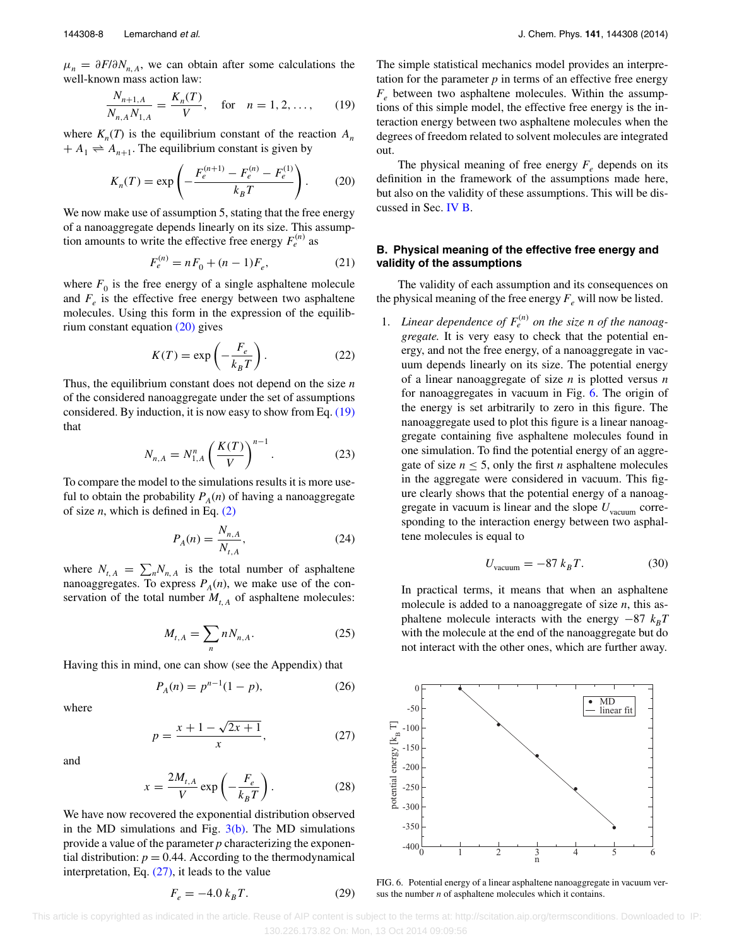$\mu_n = \partial F / \partial N_{n,A}$ , we can obtain after some calculations the well-known mass action law:

$$
\frac{N_{n+1,A}}{N_{n,A}N_{1,A}} = \frac{K_n(T)}{V}, \quad \text{for} \quad n = 1, 2, \dots,
$$
 (19)

where  $K_n(T)$  is the equilibrium constant of the reaction  $A_n$  $+ A_1 \rightleftharpoons A_{n+1}$ . The equilibrium constant is given by

$$
K_n(T) = \exp\left(-\frac{F_e^{(n+1)} - F_e^{(n)} - F_e^{(1)}}{k_B T}\right).
$$
 (20)

We now make use of assumption 5, stating that the free energy of a nanoaggregate depends linearly on its size. This assumption amounts to write the effective free energy  $F_e^{(n)}$  as

$$
F_e^{(n)} = nF_0 + (n-1)F_e,\t\t(21)
$$

where  $F_0$  is the free energy of a single asphaltene molecule and  $F_e$  is the effective free energy between two asphaltene molecules. Using this form in the expression of the equilibrium constant equation (20) gives

$$
K(T) = \exp\left(-\frac{F_e}{k_B T}\right). \tag{22}
$$

Thus, the equilibrium constant does not depend on the size *n* of the considered nanoaggregate under the set of assumptions considered. By induction, it is now easy to show from Eq. (19) that

$$
N_{n,A} = N_{1,A}^n \left(\frac{K(T)}{V}\right)^{n-1}.
$$
 (23)

To compare the model to the simulations results it is more useful to obtain the probability  $P_A(n)$  of having a nanoaggregate of size *n*, which is defined in Eq. (2)

$$
P_A(n) = \frac{N_{n,A}}{N_{t,A}},
$$
\n(24)

where  $N_{t, A} = \sum_{n} N_{n, A}$  is the total number of asphaltene nanoaggregates. To express  $P_A(n)$ , we make use of the conservation of the total number  $M_{t, A}$  of asphaltene molecules:

$$
M_{t,A} = \sum_{n} n N_{n,A}.
$$
 (25)

Having this in mind, one can show (see the Appendix) that

$$
P_A(n) = p^{n-1}(1-p),
$$
 (26)

where

$$
p = \frac{x + 1 - \sqrt{2x + 1}}{x},
$$
 (27)

and

$$
x = \frac{2M_{t,A}}{V} \exp\left(-\frac{F_e}{k_B T}\right). \tag{28}
$$

We have now recovered the exponential distribution observed in the MD simulations and Fig.  $3(b)$ . The MD simulations provide a value of the parameter *p* characterizing the exponential distribution:  $p = 0.44$ . According to the thermodynamical interpretation, Eq. (27), it leads to the value

$$
F_e = -4.0 \, k_B T. \tag{29}
$$

The simple statistical mechanics model provides an interpretation for the parameter  $p$  in terms of an effective free energy  $F_e$  between two asphaltene molecules. Within the assumptions of this simple model, the effective free energy is the interaction energy between two asphaltene molecules when the degrees of freedom related to solvent molecules are integrated out.

The physical meaning of free energy  $F_e$  depends on its definition in the framework of the assumptions made here, but also on the validity of these assumptions. This will be discussed in Sec. IV B.

# **B. Physical meaning of the effective free energy and validity of the assumptions**

The validity of each assumption and its consequences on the physical meaning of the free energy  $F_e$  will now be listed.

1. *Linear dependence of*  $F_e^{(n)}$  *on the size n of the nanoaggregate.* It is very easy to check that the potential energy, and not the free energy, of a nanoaggregate in vacuum depends linearly on its size. The potential energy of a linear nanoaggregate of size *n* is plotted versus *n* for nanoaggregates in vacuum in Fig. 6. The origin of the energy is set arbitrarily to zero in this figure. The nanoaggregate used to plot this figure is a linear nanoaggregate containing five asphaltene molecules found in one simulation. To find the potential energy of an aggregate of size  $n \leq 5$ , only the first *n* asphaltene molecules in the aggregate were considered in vacuum. This figure clearly shows that the potential energy of a nanoaggregate in vacuum is linear and the slope  $U_{\text{vacuum}}$  corresponding to the interaction energy between two asphaltene molecules is equal to

$$
U_{\text{vacuum}} = -87 \, k_B T. \tag{30}
$$

In practical terms, it means that when an asphaltene molecule is added to a nanoaggregate of size *n*, this asphaltene molecule interacts with the energy  $-87$   $k_BT$ with the molecule at the end of the nanoaggregate but do not interact with the other ones, which are further away.



FIG. 6. Potential energy of a linear asphaltene nanoaggregate in vacuum versus the number *n* of asphaltene molecules which it contains.

 This article is copyrighted as indicated in the article. Reuse of AIP content is subject to the terms at: http://scitation.aip.org/termsconditions. Downloaded to IP: 130.226.173.82 On: Mon, 13 Oct 2014 09:09:56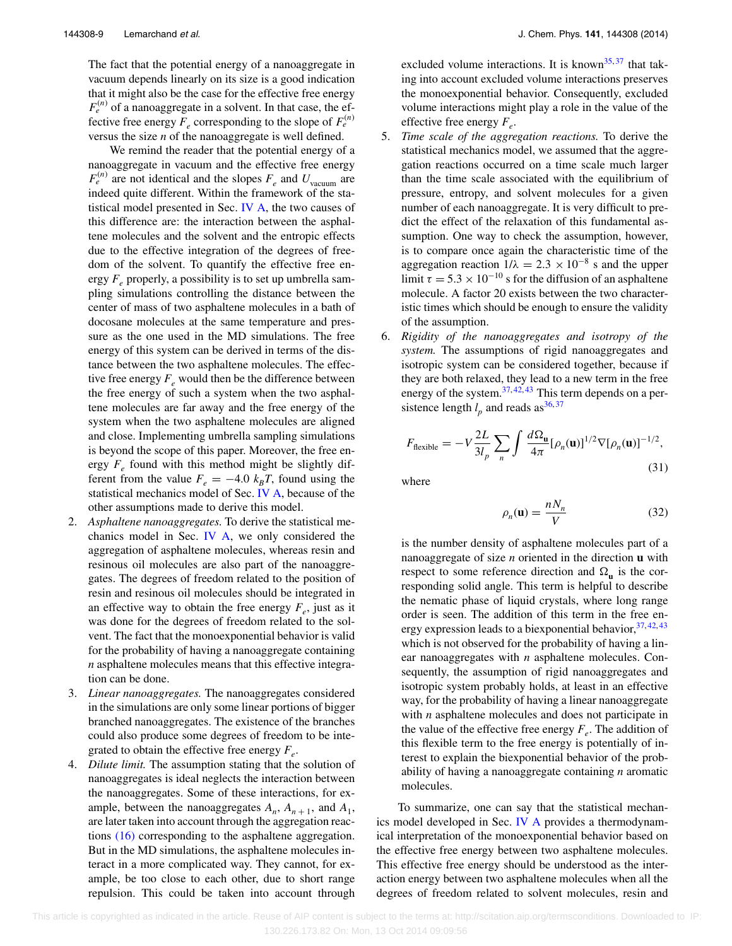The fact that the potential energy of a nanoaggregate in vacuum depends linearly on its size is a good indication that it might also be the case for the effective free energy  $F_e^{(n)}$  of a nanoaggregate in a solvent. In that case, the effective free energy  $F_e$  corresponding to the slope of  $F_e^{(n)}$ versus the size *n* of the nanoaggregate is well defined.

We remind the reader that the potential energy of a nanoaggregate in vacuum and the effective free energy  $F_e^{(n)}$  are not identical and the slopes  $F_e$  and  $U_{\text{vacuum}}$  are indeed quite different. Within the framework of the statistical model presented in Sec. IV A, the two causes of this difference are: the interaction between the asphaltene molecules and the solvent and the entropic effects due to the effective integration of the degrees of freedom of the solvent. To quantify the effective free energy  $F_e$  properly, a possibility is to set up umbrella sampling simulations controlling the distance between the center of mass of two asphaltene molecules in a bath of docosane molecules at the same temperature and pressure as the one used in the MD simulations. The free energy of this system can be derived in terms of the distance between the two asphaltene molecules. The effective free energy  $F_e$  would then be the difference between the free energy of such a system when the two asphaltene molecules are far away and the free energy of the system when the two asphaltene molecules are aligned and close. Implementing umbrella sampling simulations is beyond the scope of this paper. Moreover, the free energy  $F_e$  found with this method might be slightly different from the value  $F_e = -4.0$   $k_B T$ , found using the statistical mechanics model of Sec. IV A, because of the other assumptions made to derive this model.

- 2. *Asphaltene nanoaggregates.* To derive the statistical mechanics model in Sec. IV A, we only considered the aggregation of asphaltene molecules, whereas resin and resinous oil molecules are also part of the nanoaggregates. The degrees of freedom related to the position of resin and resinous oil molecules should be integrated in an effective way to obtain the free energy  $F_e$ , just as it was done for the degrees of freedom related to the solvent. The fact that the monoexponential behavior is valid for the probability of having a nanoaggregate containing *n* asphaltene molecules means that this effective integration can be done.
- 3. *Linear nanoaggregates.* The nanoaggregates considered in the simulations are only some linear portions of bigger branched nanoaggregates. The existence of the branches could also produce some degrees of freedom to be integrated to obtain the effective free energy  $F_e$ .
- 4. *Dilute limit.* The assumption stating that the solution of nanoaggregates is ideal neglects the interaction between the nanoaggregates. Some of these interactions, for example, between the nanoaggregates  $A_n$ ,  $A_{n+1}$ , and  $A_1$ , are later taken into account through the aggregation reactions (16) corresponding to the asphaltene aggregation. But in the MD simulations, the asphaltene molecules interact in a more complicated way. They cannot, for example, be too close to each other, due to short range repulsion. This could be taken into account through

excluded volume interactions. It is known<sup>35, 37</sup> that taking into account excluded volume interactions preserves the monoexponential behavior. Consequently, excluded volume interactions might play a role in the value of the effective free energy  $F_e$ .

- 5. *Time scale of the aggregation reactions.* To derive the statistical mechanics model, we assumed that the aggregation reactions occurred on a time scale much larger than the time scale associated with the equilibrium of pressure, entropy, and solvent molecules for a given number of each nanoaggregate. It is very difficult to predict the effect of the relaxation of this fundamental assumption. One way to check the assumption, however, is to compare once again the characteristic time of the aggregation reaction  $1/\lambda = 2.3 \times 10^{-8}$  s and the upper limit  $\tau = 5.3 \times 10^{-10}$  s for the diffusion of an asphaltene molecule. A factor 20 exists between the two characteristic times which should be enough to ensure the validity of the assumption.
- 6. *Rigidity of the nanoaggregates and isotropy of the system.* The assumptions of rigid nanoaggregates and isotropic system can be considered together, because if they are both relaxed, they lead to a new term in the free energy of the system.<sup>37, 42, 43</sup> This term depends on a persistence length  $l_p$  and reads as  $36,37$

$$
F_{\text{flexible}} = -V \frac{2L}{3l_p} \sum_{n} \int \frac{d\Omega_{\mathbf{u}}}{4\pi} [\rho_n(\mathbf{u})]^{1/2} \nabla [\rho_n(\mathbf{u})]^{-1/2},
$$
\n(31)

where

$$
\rho_n(\mathbf{u}) = \frac{nN_n}{V} \tag{32}
$$

is the number density of asphaltene molecules part of a nanoaggregate of size *n* oriented in the direction **u** with respect to some reference direction and  $\Omega$ <sub>u</sub> is the corresponding solid angle. This term is helpful to describe the nematic phase of liquid crystals, where long range order is seen. The addition of this term in the free energy expression leads to a biexponential behavior,  $37,42,43$ which is not observed for the probability of having a linear nanoaggregates with *n* asphaltene molecules. Consequently, the assumption of rigid nanoaggregates and isotropic system probably holds, at least in an effective way, for the probability of having a linear nanoaggregate with *n* asphaltene molecules and does not participate in the value of the effective free energy  $F_e$ . The addition of this flexible term to the free energy is potentially of interest to explain the biexponential behavior of the probability of having a nanoaggregate containing *n* aromatic molecules.

To summarize, one can say that the statistical mechanics model developed in Sec. IV A provides a thermodynamical interpretation of the monoexponential behavior based on the effective free energy between two asphaltene molecules. This effective free energy should be understood as the interaction energy between two asphaltene molecules when all the degrees of freedom related to solvent molecules, resin and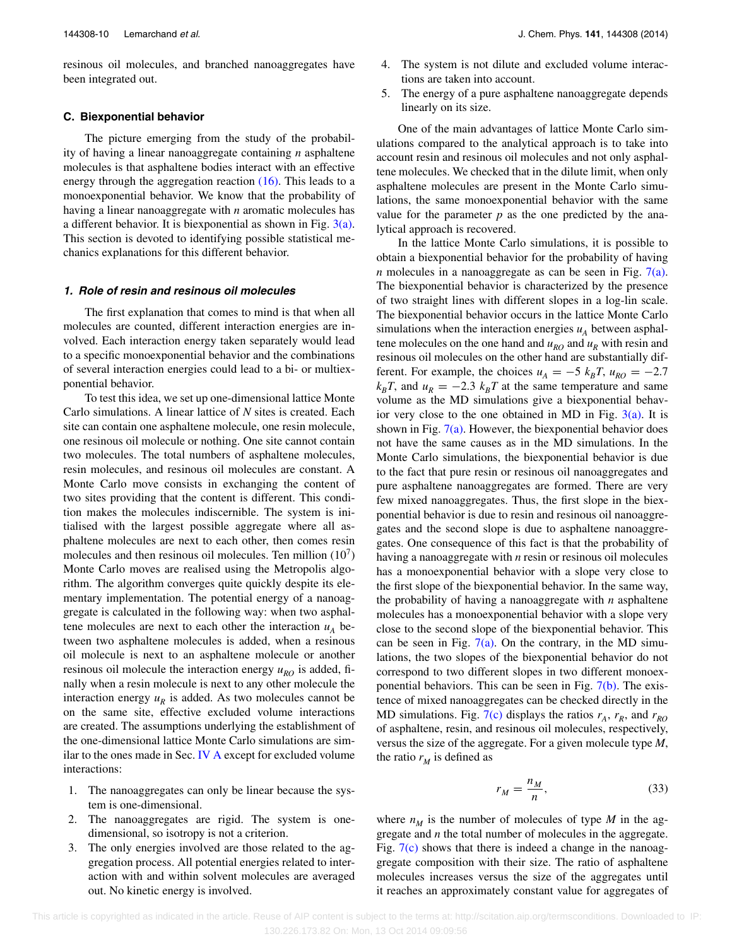resinous oil molecules, and branched nanoaggregates have been integrated out.

#### **C. Biexponential behavior**

The picture emerging from the study of the probability of having a linear nanoaggregate containing *n* asphaltene molecules is that asphaltene bodies interact with an effective energy through the aggregation reaction  $(16)$ . This leads to a monoexponential behavior. We know that the probability of having a linear nanoaggregate with *n* aromatic molecules has a different behavior. It is biexponential as shown in Fig.  $3(a)$ . This section is devoted to identifying possible statistical mechanics explanations for this different behavior.

#### **1. Role of resin and resinous oil molecules**

The first explanation that comes to mind is that when all molecules are counted, different interaction energies are involved. Each interaction energy taken separately would lead to a specific monoexponential behavior and the combinations of several interaction energies could lead to a bi- or multiexponential behavior.

To test this idea, we set up one-dimensional lattice Monte Carlo simulations. A linear lattice of *N* sites is created. Each site can contain one asphaltene molecule, one resin molecule, one resinous oil molecule or nothing. One site cannot contain two molecules. The total numbers of asphaltene molecules, resin molecules, and resinous oil molecules are constant. A Monte Carlo move consists in exchanging the content of two sites providing that the content is different. This condition makes the molecules indiscernible. The system is initialised with the largest possible aggregate where all asphaltene molecules are next to each other, then comes resin molecules and then resinous oil molecules. Ten million  $(10<sup>7</sup>)$ Monte Carlo moves are realised using the Metropolis algorithm. The algorithm converges quite quickly despite its elementary implementation. The potential energy of a nanoaggregate is calculated in the following way: when two asphaltene molecules are next to each other the interaction  $u_A$  between two asphaltene molecules is added, when a resinous oil molecule is next to an asphaltene molecule or another resinous oil molecule the interaction energy  $u_{RO}$  is added, finally when a resin molecule is next to any other molecule the interaction energy  $u_R$  is added. As two molecules cannot be on the same site, effective excluded volume interactions are created. The assumptions underlying the establishment of the one-dimensional lattice Monte Carlo simulations are similar to the ones made in Sec. IV A except for excluded volume interactions:

- 1. The nanoaggregates can only be linear because the system is one-dimensional.
- 2. The nanoaggregates are rigid. The system is onedimensional, so isotropy is not a criterion.
- 3. The only energies involved are those related to the aggregation process. All potential energies related to interaction with and within solvent molecules are averaged out. No kinetic energy is involved.
- 4. The system is not dilute and excluded volume interactions are taken into account.
- 5. The energy of a pure asphaltene nanoaggregate depends linearly on its size.

One of the main advantages of lattice Monte Carlo simulations compared to the analytical approach is to take into account resin and resinous oil molecules and not only asphaltene molecules. We checked that in the dilute limit, when only asphaltene molecules are present in the Monte Carlo simulations, the same monoexponential behavior with the same value for the parameter  $p$  as the one predicted by the analytical approach is recovered.

In the lattice Monte Carlo simulations, it is possible to obtain a biexponential behavior for the probability of having *n* molecules in a nanoaggregate as can be seen in Fig. 7(a). The biexponential behavior is characterized by the presence of two straight lines with different slopes in a log-lin scale. The biexponential behavior occurs in the lattice Monte Carlo simulations when the interaction energies  $u_A$  between asphaltene molecules on the one hand and  $u_{RO}$  and  $u_R$  with resin and resinous oil molecules on the other hand are substantially different. For example, the choices  $u_A = -5 k_B T$ ,  $u_{RO} = -2.7$  $k_B T$ , and  $u_R = -2.3$   $k_B T$  at the same temperature and same volume as the MD simulations give a biexponential behavior very close to the one obtained in MD in Fig.  $3(a)$ . It is shown in Fig.  $7(a)$ . However, the biexponential behavior does not have the same causes as in the MD simulations. In the Monte Carlo simulations, the biexponential behavior is due to the fact that pure resin or resinous oil nanoaggregates and pure asphaltene nanoaggregates are formed. There are very few mixed nanoaggregates. Thus, the first slope in the biexponential behavior is due to resin and resinous oil nanoaggregates and the second slope is due to asphaltene nanoaggregates. One consequence of this fact is that the probability of having a nanoaggregate with *n* resin or resinous oil molecules has a monoexponential behavior with a slope very close to the first slope of the biexponential behavior. In the same way, the probability of having a nanoaggregate with *n* asphaltene molecules has a monoexponential behavior with a slope very close to the second slope of the biexponential behavior. This can be seen in Fig.  $7(a)$ . On the contrary, in the MD simulations, the two slopes of the biexponential behavior do not correspond to two different slopes in two different monoexponential behaviors. This can be seen in Fig. 7(b). The existence of mixed nanoaggregates can be checked directly in the MD simulations. Fig. 7(c) displays the ratios  $r_A$ ,  $r_R$ , and  $r_{RO}$ of asphaltene, resin, and resinous oil molecules, respectively, versus the size of the aggregate. For a given molecule type *M*, the ratio  $r_M$  is defined as

$$
r_M = \frac{n_M}{n},\tag{33}
$$

where  $n_M$  is the number of molecules of type *M* in the aggregate and *n* the total number of molecules in the aggregate. Fig.  $7(c)$  shows that there is indeed a change in the nanoaggregate composition with their size. The ratio of asphaltene molecules increases versus the size of the aggregates until it reaches an approximately constant value for aggregates of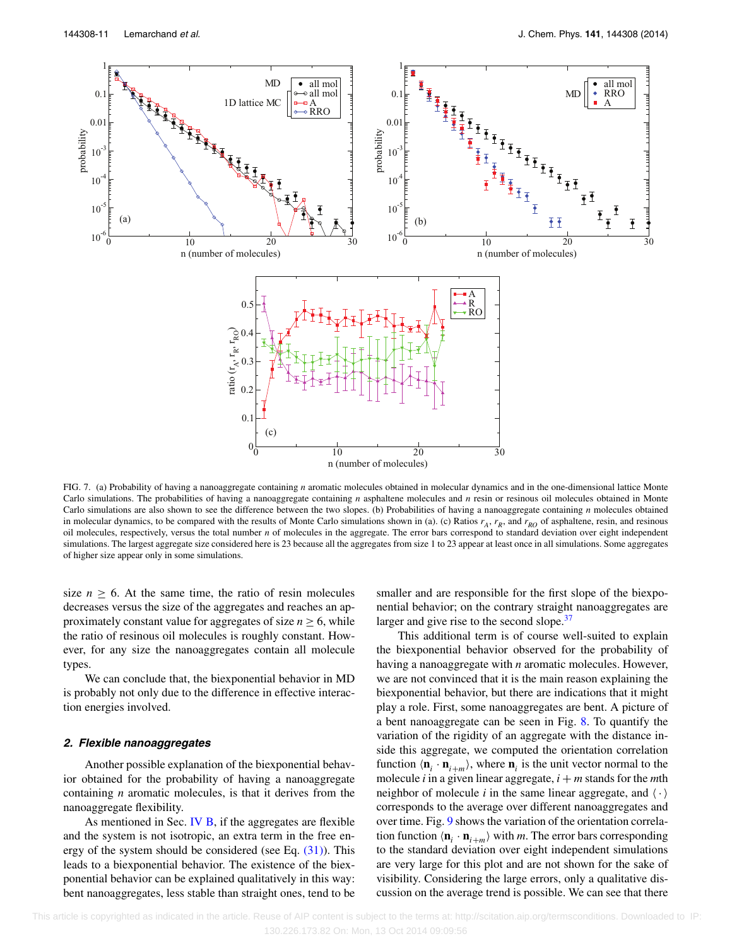

FIG. 7. (a) Probability of having a nanoaggregate containing *n* aromatic molecules obtained in molecular dynamics and in the one-dimensional lattice Monte Carlo simulations. The probabilities of having a nanoaggregate containing *n* asphaltene molecules and *n* resinous oil molecules obtained in Monte Carlo simulations are also shown to see the difference between the two slopes. (b) Probabilities of having a nanoaggregate containing *n* molecules obtained in molecular dynamics, to be compared with the results of Monte Carlo simulations shown in (a). (c) Ratios  $r_A$ ,  $r_R$ , and  $r_{RO}$  of asphaltene, resin, and resinous oil molecules, respectively, versus the total number *n* of molecules in the aggregate. The error bars correspond to standard deviation over eight independent simulations. The largest aggregate size considered here is 23 because all the aggregates from size 1 to 23 appear at least once in all simulations. Some aggregates of higher size appear only in some simulations.

size  $n \geq 6$ . At the same time, the ratio of resin molecules decreases versus the size of the aggregates and reaches an approximately constant value for aggregates of size  $n \geq 6$ , while the ratio of resinous oil molecules is roughly constant. However, for any size the nanoaggregates contain all molecule types.

We can conclude that, the biexponential behavior in MD is probably not only due to the difference in effective interaction energies involved.

#### **2. Flexible nanoaggregates**

Another possible explanation of the biexponential behavior obtained for the probability of having a nanoaggregate containing *n* aromatic molecules, is that it derives from the nanoaggregate flexibility.

As mentioned in Sec. IV  $\overline{B}$ , if the aggregates are flexible and the system is not isotropic, an extra term in the free energy of the system should be considered (see Eq.  $(31)$ ). This leads to a biexponential behavior. The existence of the biexponential behavior can be explained qualitatively in this way: bent nanoaggregates, less stable than straight ones, tend to be smaller and are responsible for the first slope of the biexponential behavior; on the contrary straight nanoaggregates are larger and give rise to the second slope.<sup>37</sup>

This additional term is of course well-suited to explain the biexponential behavior observed for the probability of having a nanoaggregate with *n* aromatic molecules. However, we are not convinced that it is the main reason explaining the biexponential behavior, but there are indications that it might play a role. First, some nanoaggregates are bent. A picture of a bent nanoaggregate can be seen in Fig. 8. To quantify the variation of the rigidity of an aggregate with the distance inside this aggregate, we computed the orientation correlation function  $\langle \mathbf{n}_i \cdot \mathbf{n}_{i+m} \rangle$ , where  $\mathbf{n}_i$  is the unit vector normal to the molecule *i* in a given linear aggregate,  $i + m$  stands for the *m*th neighbor of molecule *i* in the same linear aggregate, and  $\langle \cdot \rangle$ corresponds to the average over different nanoaggregates and over time. Fig. 9 shows the variation of the orientation correlation function  $\langle \mathbf{n}_i \cdot \mathbf{n}_{i+m} \rangle$  with *m*. The error bars corresponding to the standard deviation over eight independent simulations are very large for this plot and are not shown for the sake of visibility. Considering the large errors, only a qualitative discussion on the average trend is possible. We can see that there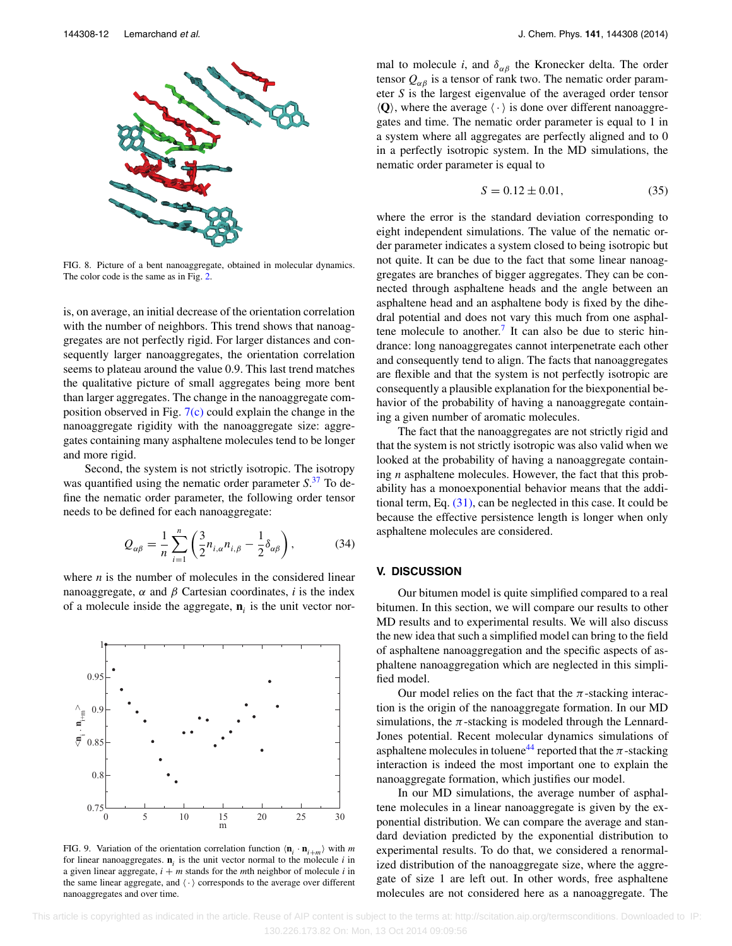![](_page_11_Figure_1.jpeg)

FIG. 8. Picture of a bent nanoaggregate, obtained in molecular dynamics. The color code is the same as in Fig. 2.

is, on average, an initial decrease of the orientation correlation with the number of neighbors. This trend shows that nanoaggregates are not perfectly rigid. For larger distances and consequently larger nanoaggregates, the orientation correlation seems to plateau around the value 0.9. This last trend matches the qualitative picture of small aggregates being more bent than larger aggregates. The change in the nanoaggregate composition observed in Fig. 7(c) could explain the change in the nanoaggregate rigidity with the nanoaggregate size: aggregates containing many asphaltene molecules tend to be longer and more rigid.

Second, the system is not strictly isotropic. The isotropy was quantified using the nematic order parameter *S*. <sup>37</sup> To define the nematic order parameter, the following order tensor needs to be defined for each nanoaggregate:

$$
Q_{\alpha\beta} = \frac{1}{n} \sum_{i=1}^{n} \left( \frac{3}{2} n_{i,\alpha} n_{i,\beta} - \frac{1}{2} \delta_{\alpha\beta} \right), \tag{34}
$$

where *n* is the number of molecules in the considered linear nanoaggregate,  $\alpha$  and  $\beta$  Cartesian coordinates, *i* is the index of a molecule inside the aggregate, **n***<sup>i</sup>* is the unit vector nor-

![](_page_11_Figure_7.jpeg)

FIG. 9. Variation of the orientation correlation function  $\langle \mathbf{n}_i \cdot \mathbf{n}_{i+m} \rangle$  with *m* for linear nanoaggregates.  $\mathbf{n}_i$  is the unit vector normal to the molecule  $i$  in a given linear aggregate,  $i + m$  stands for the *m*th neighbor of molecule  $i$  in the same linear aggregate, and  $\langle \cdot \rangle$  corresponds to the average over different nanoaggregates and over time.

mal to molecule *i*, and  $\delta_{\alpha\beta}$  the Kronecker delta. The order tensor  $Q_{\alpha\beta}$  is a tensor of rank two. The nematic order parameter *S* is the largest eigenvalue of the averaged order tensor  $\langle \mathbf{Q} \rangle$ , where the average  $\langle \cdot \rangle$  is done over different nanoaggregates and time. The nematic order parameter is equal to 1 in a system where all aggregates are perfectly aligned and to 0 in a perfectly isotropic system. In the MD simulations, the nematic order parameter is equal to

$$
S = 0.12 \pm 0.01,\tag{35}
$$

where the error is the standard deviation corresponding to eight independent simulations. The value of the nematic order parameter indicates a system closed to being isotropic but not quite. It can be due to the fact that some linear nanoaggregates are branches of bigger aggregates. They can be connected through asphaltene heads and the angle between an asphaltene head and an asphaltene body is fixed by the dihedral potential and does not vary this much from one asphaltene molecule to another.<sup>7</sup> It can also be due to steric hindrance: long nanoaggregates cannot interpenetrate each other and consequently tend to align. The facts that nanoaggregates are flexible and that the system is not perfectly isotropic are consequently a plausible explanation for the biexponential behavior of the probability of having a nanoaggregate containing a given number of aromatic molecules.

The fact that the nanoaggregates are not strictly rigid and that the system is not strictly isotropic was also valid when we looked at the probability of having a nanoaggregate containing *n* asphaltene molecules. However, the fact that this probability has a monoexponential behavior means that the additional term, Eq. (31), can be neglected in this case. It could be because the effective persistence length is longer when only asphaltene molecules are considered.

# **V. DISCUSSION**

Our bitumen model is quite simplified compared to a real bitumen. In this section, we will compare our results to other MD results and to experimental results. We will also discuss the new idea that such a simplified model can bring to the field of asphaltene nanoaggregation and the specific aspects of asphaltene nanoaggregation which are neglected in this simplified model.

Our model relies on the fact that the  $\pi$ -stacking interaction is the origin of the nanoaggregate formation. In our MD simulations, the  $\pi$ -stacking is modeled through the Lennard-Jones potential. Recent molecular dynamics simulations of asphaltene molecules in toluene<sup>44</sup> reported that the  $\pi$ -stacking interaction is indeed the most important one to explain the nanoaggregate formation, which justifies our model.

In our MD simulations, the average number of asphaltene molecules in a linear nanoaggregate is given by the exponential distribution. We can compare the average and standard deviation predicted by the exponential distribution to experimental results. To do that, we considered a renormalized distribution of the nanoaggregate size, where the aggregate of size 1 are left out. In other words, free asphaltene molecules are not considered here as a nanoaggregate. The

 This article is copyrighted as indicated in the article. Reuse of AIP content is subject to the terms at: http://scitation.aip.org/termsconditions. Downloaded to IP: 130.226.173.82 On: Mon, 13 Oct 2014 09:09:56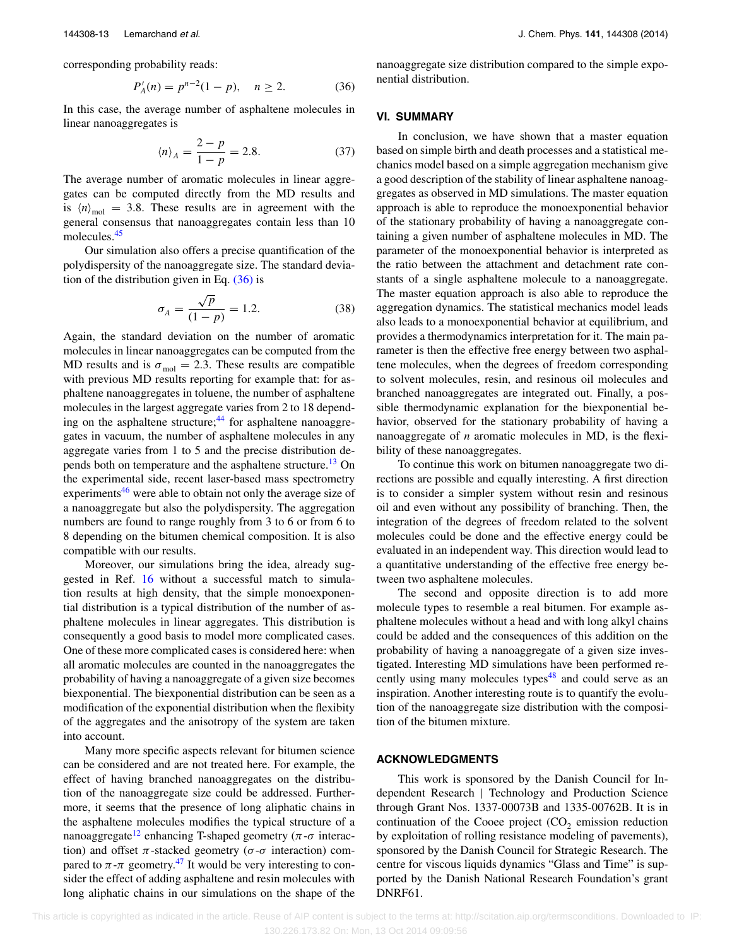corresponding probability reads:

$$
P_A'(n) = p^{n-2}(1-p), \quad n \ge 2. \tag{36}
$$

In this case, the average number of asphaltene molecules in linear nanoaggregates is

$$
\langle n \rangle_A = \frac{2 - p}{1 - p} = 2.8. \tag{37}
$$

The average number of aromatic molecules in linear aggregates can be computed directly from the MD results and is  $\langle n \rangle_{\text{mol}} = 3.8$ . These results are in agreement with the general consensus that nanoaggregates contain less than 10 molecules.<sup>45</sup>

Our simulation also offers a precise quantification of the polydispersity of the nanoaggregate size. The standard deviation of the distribution given in Eq.  $(36)$  is

$$
\sigma_A = \frac{\sqrt{p}}{(1 - p)} = 1.2.
$$
 (38)

Again, the standard deviation on the number of aromatic molecules in linear nanoaggregates can be computed from the MD results and is  $\sigma_{\text{mol}} = 2.3$ . These results are compatible with previous MD results reporting for example that: for asphaltene nanoaggregates in toluene, the number of asphaltene molecules in the largest aggregate varies from 2 to 18 depending on the asphaltene structure;  $44$  for asphaltene nanoaggregates in vacuum, the number of asphaltene molecules in any aggregate varies from 1 to 5 and the precise distribution depends both on temperature and the asphaltene structure.<sup>13</sup> On the experimental side, recent laser-based mass spectrometry experiments $46$  were able to obtain not only the average size of a nanoaggregate but also the polydispersity. The aggregation numbers are found to range roughly from 3 to 6 or from 6 to 8 depending on the bitumen chemical composition. It is also compatible with our results.

Moreover, our simulations bring the idea, already suggested in Ref. 16 without a successful match to simulation results at high density, that the simple monoexponential distribution is a typical distribution of the number of asphaltene molecules in linear aggregates. This distribution is consequently a good basis to model more complicated cases. One of these more complicated cases is considered here: when all aromatic molecules are counted in the nanoaggregates the probability of having a nanoaggregate of a given size becomes biexponential. The biexponential distribution can be seen as a modification of the exponential distribution when the flexibity of the aggregates and the anisotropy of the system are taken into account.

Many more specific aspects relevant for bitumen science can be considered and are not treated here. For example, the effect of having branched nanoaggregates on the distribution of the nanoaggregate size could be addressed. Furthermore, it seems that the presence of long aliphatic chains in the asphaltene molecules modifies the typical structure of a nanoaggregate<sup>12</sup> enhancing T-shaped geometry ( $\pi$ - $\sigma$  interaction) and offset  $\pi$ -stacked geometry ( $\sigma$ - $\sigma$  interaction) compared to  $\pi$ - $\pi$  geometry.<sup>47</sup> It would be very interesting to consider the effect of adding asphaltene and resin molecules with long aliphatic chains in our simulations on the shape of the nanoaggregate size distribution compared to the simple exponential distribution.

## **VI. SUMMARY**

In conclusion, we have shown that a master equation based on simple birth and death processes and a statistical mechanics model based on a simple aggregation mechanism give a good description of the stability of linear asphaltene nanoaggregates as observed in MD simulations. The master equation approach is able to reproduce the monoexponential behavior of the stationary probability of having a nanoaggregate containing a given number of asphaltene molecules in MD. The parameter of the monoexponential behavior is interpreted as the ratio between the attachment and detachment rate constants of a single asphaltene molecule to a nanoaggregate. The master equation approach is also able to reproduce the aggregation dynamics. The statistical mechanics model leads also leads to a monoexponential behavior at equilibrium, and provides a thermodynamics interpretation for it. The main parameter is then the effective free energy between two asphaltene molecules, when the degrees of freedom corresponding to solvent molecules, resin, and resinous oil molecules and branched nanoaggregates are integrated out. Finally, a possible thermodynamic explanation for the biexponential behavior, observed for the stationary probability of having a nanoaggregate of *n* aromatic molecules in MD, is the flexibility of these nanoaggregates.

To continue this work on bitumen nanoaggregate two directions are possible and equally interesting. A first direction is to consider a simpler system without resin and resinous oil and even without any possibility of branching. Then, the integration of the degrees of freedom related to the solvent molecules could be done and the effective energy could be evaluated in an independent way. This direction would lead to a quantitative understanding of the effective free energy between two asphaltene molecules.

The second and opposite direction is to add more molecule types to resemble a real bitumen. For example asphaltene molecules without a head and with long alkyl chains could be added and the consequences of this addition on the probability of having a nanoaggregate of a given size investigated. Interesting MD simulations have been performed recently using many molecules types<sup>48</sup> and could serve as an inspiration. Another interesting route is to quantify the evolution of the nanoaggregate size distribution with the composition of the bitumen mixture.

#### **ACKNOWLEDGMENTS**

This work is sponsored by the Danish Council for Independent Research | Technology and Production Science through Grant Nos. 1337-00073B and 1335-00762B. It is in continuation of the Cooee project  $(CO<sub>2</sub>)$  emission reduction by exploitation of rolling resistance modeling of pavements), sponsored by the Danish Council for Strategic Research. The centre for viscous liquids dynamics "Glass and Time" is supported by the Danish National Research Foundation's grant DNRF61.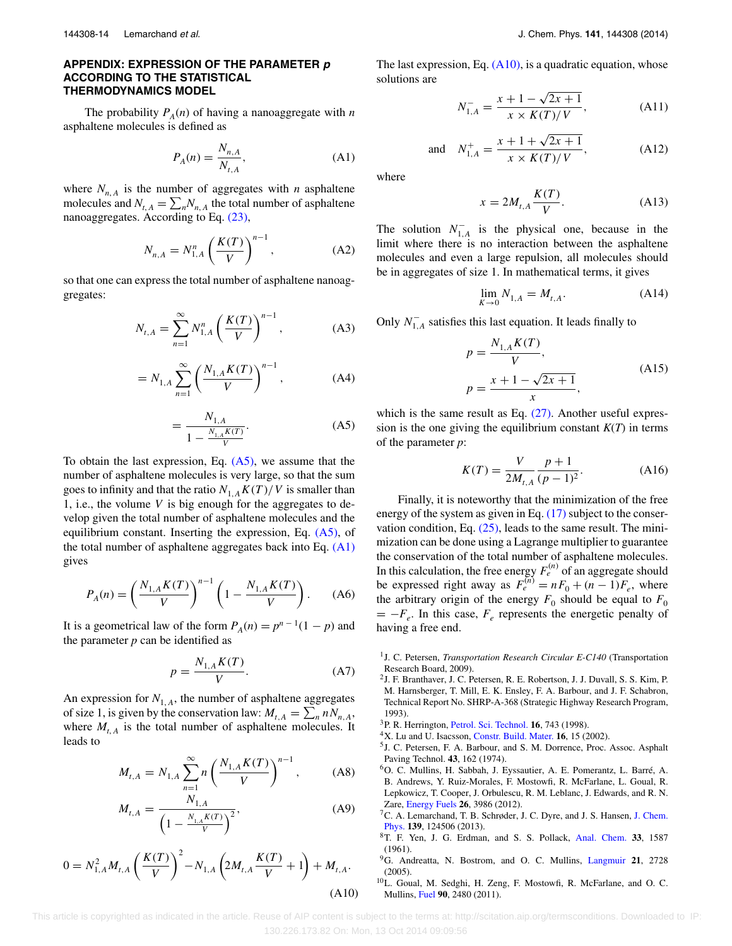## **APPENDIX: EXPRESSION OF THE PARAMETER p ACCORDING TO THE STATISTICAL THERMODYNAMICS MODEL**

The probability  $P_A(n)$  of having a nanoaggregate with *n* asphaltene molecules is defined as

$$
P_A(n) = \frac{N_{n,A}}{N_{t,A}},\tag{A1}
$$

where  $N_{n, A}$  is the number of aggregates with *n* asphaltene molecules and  $N_{t, A} = \sum_n N_{n, A}$  the total number of asphaltene nanoaggregates. According to Eq. (23),

$$
N_{n,A} = N_{1,A}^n \left(\frac{K(T)}{V}\right)^{n-1},
$$
 (A2)

so that one can express the total number of asphaltene nanoaggregates:

$$
N_{t,A} = \sum_{n=1}^{\infty} N_{1,A}^n \left(\frac{K(T)}{V}\right)^{n-1},
$$
 (A3)

$$
= N_{1,A} \sum_{n=1}^{\infty} \left( \frac{N_{1,A} K(T)}{V} \right)^{n-1}, \tag{A4}
$$

$$
= \frac{N_{1,A}}{1 - \frac{N_{1,A}K(T)}{V}}.
$$
 (A5)

To obtain the last expression, Eq.  $(A5)$ , we assume that the number of asphaltene molecules is very large, so that the sum goes to infinity and that the ratio  $N_{1,A}K(T)/V$  is smaller than 1, i.e., the volume *V* is big enough for the aggregates to develop given the total number of asphaltene molecules and the equilibrium constant. Inserting the expression, Eq.  $(A5)$ , of the total number of asphaltene aggregates back into Eq.  $(A1)$ gives

$$
P_A(n) = \left(\frac{N_{1,A}K(T)}{V}\right)^{n-1} \left(1 - \frac{N_{1,A}K(T)}{V}\right). \tag{A6}
$$

It is a geometrical law of the form  $P_A(n) = p^{n-1}(1-p)$  and the parameter  $p$  can be identified as

$$
p = \frac{N_{1,A}K(T)}{V}.
$$
 (A7)

An expression for  $N_{1, A}$ , the number of asphaltene aggregates of size 1, is given by the conservation law:  $M_{t,A} = \sum_{n} n N_{n,A}$ , where  $M_{t, A}$  is the total number of asphaltene molecules. It leads to

$$
M_{t,A} = N_{1,A} \sum_{n=1}^{\infty} n \left( \frac{N_{1,A} K(T)}{V} \right)^{n-1}, \quad (A8)
$$

$$
M_{t,A} = \frac{N_{1,A}}{\left(1 - \frac{N_{1,A}K(T)}{V}\right)^2},\tag{A9}
$$

$$
0 = N_{1,A}^2 M_{t,A} \left(\frac{K(T)}{V}\right)^2 - N_{1,A} \left(2M_{t,A}\frac{K(T)}{V} + 1\right) + M_{t,A}.
$$
\n(A10)

The last expression, Eq. (A10), is a quadratic equation, whose solutions are

$$
N_{1,A}^{-} = \frac{x + 1 - \sqrt{2x + 1}}{x \times K(T)/V},
$$
 (A11)

$$
N_{1,A}^{+} = \frac{x + 1 + \sqrt{2x + 1}}{x \times K(T)/V},
$$
 (A12)

where

 $ar$ 

$$
x = 2M_{t,A} \frac{K(T)}{V}.
$$
 (A13)

The solution  $N_{1,A}^-$  is the physical one, because in the limit where there is no interaction between the asphaltene molecules and even a large repulsion, all molecules should be in aggregates of size 1. In mathematical terms, it gives

$$
\lim_{K \to 0} N_{1,A} = M_{t,A}.
$$
\n(A14)

Only  $N_{1,A}^-$  satisfies this last equation. It leads finally to

$$
p = \frac{N_{1,A}K(T)}{V},
$$
  
\n
$$
p = \frac{x + 1 - \sqrt{2x + 1}}{x},
$$
\n(A15)

which is the same result as Eq. (27). Another useful expression is the one giving the equilibrium constant  $K(T)$  in terms of the parameter *p*:

$$
K(T) = \frac{V}{2M_{t,A}} \frac{p+1}{(p-1)^2}.
$$
 (A16)

Finally, it is noteworthy that the minimization of the free energy of the system as given in Eq. (17) subject to the conservation condition, Eq.  $(25)$ , leads to the same result. The minimization can be done using a Lagrange multiplier to guarantee the conservation of the total number of asphaltene molecules. In this calculation, the free energy  $F_e^{(n)}$  of an aggregate should be expressed right away as  $F_e^{(n)} = nF_0 + (n-1)F_e$ , where the arbitrary origin of the energy  $F_0$  should be equal to  $F_0$  $=-F_e$ . In this case,  $F_e$  represents the energetic penalty of having a free end.

- <sup>1</sup>J. C. Petersen, *Transportation Research Circular E-C140* (Transportation Research Board, 2009).
- 2J. F. Branthaver, J. C. Petersen, R. E. Robertson, J. J. Duvall, S. S. Kim, P. M. Harnsberger, T. Mill, E. K. Ensley, F. A. Barbour, and J. F. Schabron, Technical Report No. SHRP-A-368 (Strategic Highway Research Program, 1993).
- 3P. R. Herrington, [Petrol. Sci. Technol.](http://dx.doi.org/10.1080/10916469808949809) **16**, 743 (1998).
- 4X. Lu and U. Isacsson, [Constr. Build. Mater.](http://dx.doi.org/10.1016/S0950-0618(01)00033-2) **16**, 15 (2002).
- 5J. C. Petersen, F. A. Barbour, and S. M. Dorrence, Proc. Assoc. Asphalt Paving Technol. **43**, 162 (1974).
- 6O. C. Mullins, H. Sabbah, J. Eyssautier, A. E. Pomerantz, L. Barré, A. B. Andrews, Y. Ruiz-Morales, F. Mostowfi, R. McFarlane, L. Goual, R. Lepkowicz, T. Cooper, J. Orbulescu, R. M. Leblanc, J. Edwards, and R. N. Zare, [Energy Fuels](http://dx.doi.org/10.1021/ef300185p) **26**, 3986 (2012).
- ${}^{7}C$ . A. Lemarchand, T. B. Schrøder, J. C. Dyre, and J. S. Hansen, [J. Chem.](http://dx.doi.org/10.1063/1.4821616) [Phys.](http://dx.doi.org/10.1063/1.4821616) **139**, 124506 (2013).
- 8T. F. Yen, J. G. Erdman, and S. S. Pollack, [Anal. Chem.](http://dx.doi.org/10.1021/ac60179a039) **33**, 1587 (1961).
- 9G. Andreatta, N. Bostrom, and O. C. Mullins, [Langmuir](http://dx.doi.org/10.1021/la048640t) **21**, 2728 (2005).
- $10$ L. Goual, M. Sedghi, H. Zeng, F. Mostowfi, R. McFarlane, and O. C. Mullins, [Fuel](http://dx.doi.org/10.1016/j.fuel.2011.02.025) **90**, 2480 (2011).